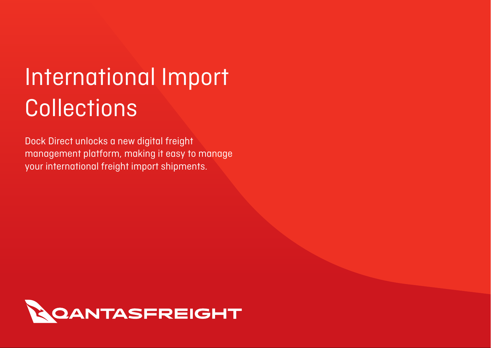# International Import **Collections**

Dock Direct unlocks a new digital freight management platform, making it easy to manage your international freight import shipments.

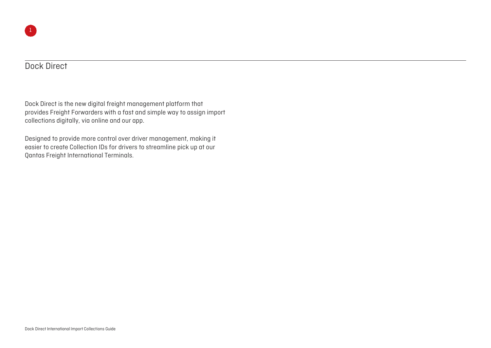#### Dock Direct

Dock Direct is the new digital freight management platform that provides Freight Forwarders with a fast and simple way to assign import collections digitally, via online and our app.

Designed to provide more control over driver management, making it easier to create Collection IDs for drivers to streamline pick up at our Qantas Freight International Terminals.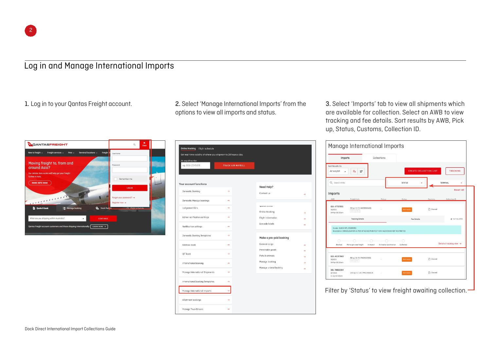### Log in and Manage International Imports

 $\mathbf{x}$ QANTASFREIGHT  $\alpha$ Terminal locations New to freight  $\sim$  Freight services  $\sim$ Pets u Freigh Moving freight to, from and around Asia? Our Jetstor As further in Asia Remember me MORE INFO HERE **LOGIN** raot vour password? → **Denieter now A Co** Track fre **Ei** Quote & book He Mongoe hat are you shinning within Australia **CONTINUE**  $y: 2001N HERE \rightarrow 0$ 

1. Log in to your Qantas Freight account. 2. Select 'Manage International Imports' from the options to view all imports and status.

| Online tracking Flight schedule<br>Get real-time visibility of where your shipment is 24 hours a day. |                   |
|-------------------------------------------------------------------------------------------------------|-------------------|
| Air wayaill number<br>eg. 081-12345678                                                                | TRACK AIR WAYBILL |
| Your account functions                                                                                |                   |
| Domestic Booking                                                                                      | ×,                |
| Domestic Manage bookings                                                                              | цý,               |
| Lodgement lists                                                                                       | ÷                 |
|                                                                                                       |                   |
| Admin notification settings                                                                           | nde.              |
| Notification settings                                                                                 | ÷                 |
| Domestic Booking Templotes                                                                            | odk               |
| Address book                                                                                          | a.                |
|                                                                                                       |                   |
| OF Trock                                                                                              | <b>H</b>          |
| International Booking                                                                                 | $\rightarrow$     |
| Monoge International Shipments                                                                        | ÷                 |
| International Booking Templates                                                                       | ÷                 |
| Monage International Imparts                                                                          |                   |
| Allahment bookings                                                                                    | nde.              |
| Monage Truck Drivers                                                                                  | →                 |

3. Select 'Imports' tab to view all shipments which are available for collection. Select an AWB to view tracking and fee details. Sort results by AWB, Pick up, Status, Customs, Collection ID.

| Imports                                   |                                                                                  | Collections            |                    |                               |                                      |  |  |  |
|-------------------------------------------|----------------------------------------------------------------------------------|------------------------|--------------------|-------------------------------|--------------------------------------|--|--|--|
| Sort Results By<br>Air woybill            | E.<br>크                                                                          |                        |                    | <b>CREATE COLLECTION LIST</b> | <b>TRACKING</b>                      |  |  |  |
| Q Search AWBs                             |                                                                                  |                        | <b>STATUS</b>      |                               | TERMINAL<br>ú                        |  |  |  |
| Imports                                   |                                                                                  |                        |                    |                               | <b>Reset all</b>                     |  |  |  |
| AWB                                       | Freight Info                                                                     | Pickup                 | Status             | Customs                       | Collection ID                        |  |  |  |
| 618-47737955<br>SQ0221<br>04 Apr 05:55 cm | 33 kg   3 / 3   AKE89304SQ<br>ECC CNL                                            |                        | Not ready          | Cleared                       |                                      |  |  |  |
|                                           | <b>Tracking Details</b>                                                          |                        | <b>Fee Details</b> |                               | Mot my AWB                           |  |  |  |
| Sender: QUICK INTL COURIERS               | Description: CONSOLIDATION AS PER ATTACHED MANIFEST NON HAZARDOUS NOT RESTRICTED |                        |                    |                               |                                      |  |  |  |
| Booked                                    | We've got your freight<br>In transit                                             | Arrived at destination | Collected          |                               | Detailed tracking view $\rightarrow$ |  |  |  |
| 618-40257663<br>SQ0221<br>04 Apr 05:55 om | 88 kg   8 / 8   PAG41529SQ<br>ECC PIL                                            |                        | Not ready          | Cleared                       |                                      |  |  |  |

Filter by 'Status' to view freight awaiting collection.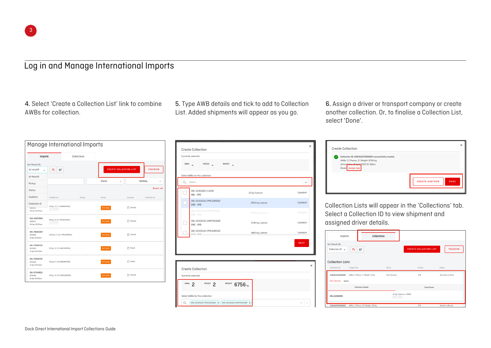#### Log in and Manage International Imports

4. Select 'Create a Collection List' link to combine AWBs for collection.

5. Type AWB details and tick to add to Collection List. Added shipments will appear as you go.

6. Assign a driver or transport company or create another collection. Or, to finalise a Collection List, select 'Done'.

| Imports                                   |                                       | Collections |               |                               |                  |
|-------------------------------------------|---------------------------------------|-------------|---------------|-------------------------------|------------------|
| Sort Results By                           |                                       |             |               |                               |                  |
| Air waybill<br>۸                          | ΞŤ<br>Eŧ                              |             |               | <b>CREATE COLLECTION LIST</b> | <b>TRACKING</b>  |
| Air Waybill                               |                                       |             |               |                               |                  |
| Pickup                                    |                                       |             | <b>STATUS</b> | v.                            | TERMINAL         |
| Status                                    |                                       |             |               |                               | <b>Reset all</b> |
| Customs                                   | Freight Info                          | Pickup      | Status        | Customs                       | Collection ID    |
| Collection ID                             |                                       |             |               |                               |                  |
| <b>SU0221</b><br>04 Apr 05:55gm           | 33 kg   3 / 3   AKE89304SQ<br>ECC CNL |             | Not ready     | n Cleared                     |                  |
| 618-40257663<br>S00221<br>04 Apr 05:55 om | 88 kg   8 / 8   PAG41529SQ<br>ECC PIL |             | Not ready     | Cleared                       |                  |
| 081-78662264<br>QF0084<br>11 Apr 10:00am  | 100 kg   5 / 25   PMC19905CA          |             | Not ready     | Cleared                       |                  |
| 081-73958732<br>OF0083<br>11 Apr 08:00pm  | 50 kg   6 / 11   AKE11909SQ           |             | Not ready     | <b>T</b> Failed               |                  |
| 081-73958732<br>OF0083<br>11 Apr 08:00pm  | 51 kg   5 / 11   AKE14543SQ           |             | Not ready     | <b>Pailed</b>                 |                  |
| 081-67549613<br>QF0083<br>11 Apr 08:00am  | 70 kg   6 / 13   PMC10909CA           |             | Not ready     | C Cleared                     |                  |

| Currently selected: |                                            |                  |                 |
|---------------------|--------------------------------------------|------------------|-----------------|
| $AWBs$ <sub>=</sub> | PIECES _                                   | WEIGHT           |                 |
|                     | Select AWBs for this collection            |                  |                 |
| Q                   | Select                                     |                  | $\checkmark$    |
|                     | 081-42401855   LOOSE<br>AKL - SYD          | 12 kg 3 pieces   | T1IMPBYP        |
|                     | 081-52335216   PMC12905QF<br>CHC - SYD     | 3050 kg 1 pieces | T1IMPBYP        |
|                     | 081-52335216   PMC43102QF<br>CHC - SYD     | 3545 kg 1 pieces | <b>T1IMPBYP</b> |
|                     | 081-52335216   AMP70040QF<br>CHC - SYD     | 3706 kg 1 pieces | T1IMPBYP        |
|                     | 081-52335216   PMC43901QF<br>$\frac{1}{2}$ | 1880 kg 1 pieces | T1IMPBYP        |
|                     |                                            |                  | <b>NEXT</b>     |
|                     |                                            |                  |                 |
|                     |                                            |                  |                 |
|                     | <b>Create Collection</b>                   |                  | $\times$        |
| Currently selected: |                                            |                  |                 |
| AWBs 2              | PIECES <sub>2</sub>                        | WEIGHT 6756 kg   |                 |
|                     |                                            |                  |                 |

|   | <b>Create Collection</b>                                                                                                                                   |                       | $\times$    |
|---|------------------------------------------------------------------------------------------------------------------------------------------------------------|-----------------------|-------------|
| ✓ | Collection ID: 220412SYD00009 successfully created.<br>AWBs: 2   Pieces: 2   Weight: 6756 kg<br>Arrivolational 12 April 2022 01:30pm<br>Driver: Assign now |                       |             |
|   |                                                                                                                                                            | <b>CREATE ANOTHER</b> | <b>DONE</b> |

Collection Lists will appear in the 'Collections' tab. Select a Collection ID to view shipment and assigned driver details.

| Imports                                  | Collections                           |                                     |                               |                     |
|------------------------------------------|---------------------------------------|-------------------------------------|-------------------------------|---------------------|
| Sort Results By<br>Collection ID ~       | EL.<br>ΞŤ                             |                                     | <b>CREATE COLLECTION LIST</b> | <b>TRACKING</b>     |
| <b>Collection Lists</b><br>Collection ID | Freight Info                          | Driver                              | Pickup                        | <b>Status</b>       |
| 220411SYD00009                           | AWBs: 1   Pieces: 3   Weight: 12 kg   | Dan Cannavo                         | SYD                           | Allocated to driver |
| Edit collection<br>Delete                |                                       |                                     |                               |                     |
|                                          | <b>Collection Details</b>             |                                     | <b>Truck Driver</b>           |                     |
| 081-42401855                             |                                       | 12 kg   3 pieces   LOOSE<br>XPS SPX |                               |                     |
| 220412SYD00002                           | AWBs: 1   Pieces: 12   Weight: 165 kg | ×.                                  | SYD                           | Ready to allocate   |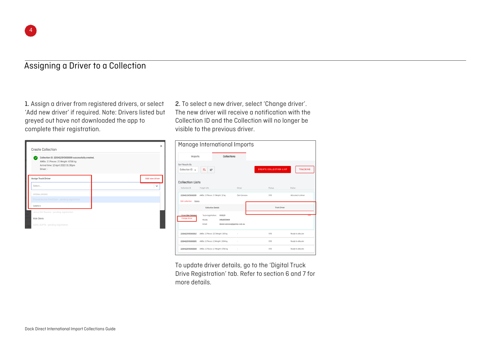#### Assigning a Driver to a Collection

1. Assign a driver from registered drivers, or select 'Add new driver' if required. Note: Drivers listed but greyed out have not downloaded the app to complete their registration.

| Collection ID: 220412SYD00009 successfully created.<br>AWBs: 2   Pieces: 2   Weight: 6756 kg<br>Arrival time: 12 April 2022 01:30pm<br>Driver: - |                |
|--------------------------------------------------------------------------------------------------------------------------------------------------|----------------|
| Assign Truck Driver                                                                                                                              | Add new driver |
| Select                                                                                                                                           | $\check{ }$    |
| INTERNAL DRIVERS                                                                                                                                 |                |
| Praveenkumar Parthiban - pending registration                                                                                                    |                |
| Laura a                                                                                                                                          |                |
| Jerico Del Rosario - pending registration                                                                                                        |                |
| Alan Davis                                                                                                                                       |                |

2. To select a new driver, select 'Change driver'. The new driver will receive a notification with the Collection ID and the Collection will no longer be visible to the previous driver.

|                                          |                                          |                                                      | Manage International Imports |                               |                     |
|------------------------------------------|------------------------------------------|------------------------------------------------------|------------------------------|-------------------------------|---------------------|
| Imports                                  |                                          | Collections                                          |                              |                               |                     |
| Sort Results By<br>Collection ID ~       | $\equiv$<br>Es.                          |                                                      |                              | <b>CREATE COLLECTION LIST</b> | <b>TRACKING</b>     |
| <b>Collection Lists</b><br>Collection ID | Freight Info                             |                                                      | Driver                       | Pickup                        | Status              |
| 220411SYD00009                           | AWBs: 1   Pieces: 3   Weight: 12 kg      |                                                      | Dan Cannovo                  | SYD                           | Allocated to driver |
| <b>Edit collection</b><br>Delete         | <b>Collection Details</b>                |                                                      |                              | <b>Truck Driver</b>           |                     |
| Driver:Dan Cannavo<br>Change driver      | Truck registration:<br>Mobile:<br>Fmnil: | XXX123<br>0402655869<br>daniel.cannavo@qantas.com.au |                              |                               | eom                 |
| 220412SYD00002                           | AWBs: 1   Pieces: 12   Weight: 165 kg    |                                                      |                              | SYD                           | Ready to allocate   |
| 220412SYD00005                           |                                          |                                                      |                              | SYD                           | Ready to allocate   |
|                                          | AWBs: 1   Pieces: 1   Weight: 1394 kg    |                                                      |                              |                               |                     |

To update driver details, go to the 'Digital Truck Drive Registration' tab. Refer to section 6 and 7 for more details.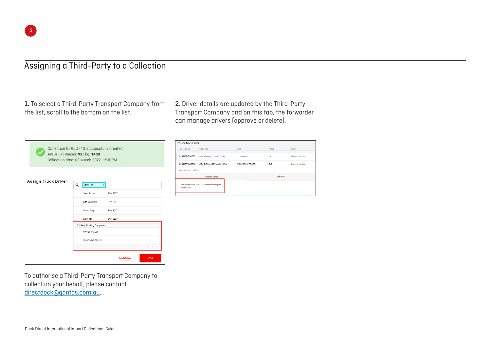#### Assigning a Third-Party to a Collection

1. To select a Third-Party Transport Company from the list, scroll to the bottom on the list.

2. Driver details are updated by the Third-Party Transport Company and on this tab, the forwarder can manage drivers (approve or delete).

|                     | Collection ID RJQ74G successfully created<br>AWBs: 3   Pieces: 92   kg: 1400<br>Collection time: 03 March 2022 12:30PM |                 |             |
|---------------------|------------------------------------------------------------------------------------------------------------------------|-----------------|-------------|
| Assign Truck Driver | Q<br>Barry Talt<br>$\mathbf{x}$<br>Sean Baxter                                                                         | <b>BVK 522T</b> |             |
|                     | Dan Buckman                                                                                                            | <b>BVK 522T</b> |             |
|                     | Mehul Singh                                                                                                            | <b>BVK 52ZT</b> |             |
|                     | Barry Talt                                                                                                             | <b>BVK 52ZT</b> |             |
|                     | 3rd Party Trucking Companies                                                                                           |                 |             |
|                     | Wymap Pty Ltd                                                                                                          |                 |             |
|                     | Brownways Pty Ltd                                                                                                      |                 |             |
|                     |                                                                                                                        |                 | Aug North   |
|                     |                                                                                                                        | CANCEL          | <b>SAVE</b> |

To authorise a Third-Party Transport Company to collect on your behalf, please contact [directdock@qantas.com.au](mailto:directdock@qantas.com.au).

**Collection Lists** Collection ID Freight Info Pickup Driver Status 220411SYD0009 AWRS: 11 Dienes: 31 Weight: 12 kg Den Connovo syn Allocated to driver 220412SYD00002 AWBs: 1 | Pieces: 12 | Weight: 165 kg WWAD CONTO OTHER  $<sub>ewn</sub>$ </sub> Ready to allocate Edit collection Delete **Collection Details** Truck Driver Driver WYMAP GROUP PTY LTD - Driver not ossigned Change driver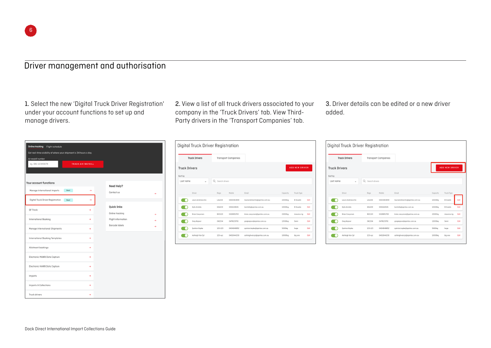## Driver management and authorisation

1. Select the new 'Digital Truck Driver Registration' under your account functions to set up and manage drivers.

2. View a list of all truck drivers associated to your company in the 'Truck Drivers' tab. View Third-Party drivers in the 'Transport Companies' tab.

3. Driver details can be edited or a new driver added.

| <b>Online tracking</b><br>Flight schedule<br>Get real-time visibility of where your shipment is 24 hours a day.<br>Air waybill number |                   |                                       |   |
|---------------------------------------------------------------------------------------------------------------------------------------|-------------------|---------------------------------------|---|
| eg. 081-12345678                                                                                                                      | TRACK AIR WAYBILL |                                       |   |
| Your account functions                                                                                                                |                   |                                       |   |
| Manage International Imports<br>New!                                                                                                  | →                 | Need Help?<br>Contact us              | → |
| Digital Truck Driver Registration<br>New!                                                                                             | →                 |                                       |   |
| QF Track                                                                                                                              | $\rightarrow$     | <b>Quick links</b><br>Online tracking |   |
| International Booking                                                                                                                 | $\rightarrow$     | Flight information                    | → |
| Manage International Shipments                                                                                                        | $\rightarrow$     | Barcade labels                        |   |
| International Booking Templates                                                                                                       | $\rightarrow$     |                                       |   |
| Allotment bookings                                                                                                                    | $\rightarrow$     |                                       |   |
| Electronic MAWB Data Capture                                                                                                          | $\rightarrow$     |                                       |   |
| Electronic HAWB Data Capture                                                                                                          | $\rightarrow$     |                                       |   |
| Imports                                                                                                                               | $\rightarrow$     |                                       |   |
| Imports & Collections                                                                                                                 | $\rightarrow$     |                                       |   |
| Truck drivers                                                                                                                         | $\rightarrow$     |                                       |   |

| <b>Truck Drivers</b> |                       |                     | <b>Transport Companies</b> |                               |                    |                       |      |
|----------------------|-----------------------|---------------------|----------------------------|-------------------------------|--------------------|-----------------------|------|
| <b>Truck Drivers</b> |                       |                     |                            |                               |                    | <b>ADD NEW DRIVER</b> |      |
| Sort by              |                       |                     |                            |                               |                    |                       |      |
| Last name            | $\checkmark$          | Q<br>Search drivers |                            |                               |                    |                       |      |
|                      |                       |                     |                            |                               |                    |                       |      |
|                      | Driver                | Rego                | Mobile                     | Email                         | Capacity           | Truck Type            |      |
|                      | Laura Andreacchio     | LA1234              | 0400363899                 | lauraandreachio@gantas.com.au | 10000kg            | <b>B</b> Double       | Edit |
|                      | Kylie Antella         | KA1234              | 0402128191                 | kantella@gantas.com.au        | 10000kg            | B Double              | Edit |
|                      | <b>Brian Caovonan</b> | BGC123              | 0428851763                 | brian.cacyonan@qantas.com.au  | 21500kg            | massive ria           | Edit |
|                      | Greg Kapoor           | GK1234              | 0478123791                 | gregkapoor@qantas.com.au      | 12000kg            | Semi                  | Edit |
|                      | Quinton Kopke         | 123-123             | 0404648852                 | quinton.kopke@gantas.com.au   | 5000 <sub>kg</sub> | huge                  | Edit |
|                      |                       |                     |                            |                               |                    |                       |      |

| <b>Truck Drivers</b><br><b>Truck Drivers</b> |                   |                     | <b>Transport Companies</b> |                               |                       |                 |      |
|----------------------------------------------|-------------------|---------------------|----------------------------|-------------------------------|-----------------------|-----------------|------|
|                                              |                   |                     |                            |                               | <b>ADD NEW DRIVER</b> |                 |      |
| Sort by<br>Last name                         | $\checkmark$      | Q<br>Search drivers |                            |                               |                       |                 |      |
|                                              | Driver            | Rego                | Mobile                     | Email                         | Capacity              | Truck Type      |      |
|                                              | Laura Andreacchio | LA1234              | 0400363899                 | lauraandreachio@qantas.com.au | 10000kg               | <b>B</b> Double | Edit |
|                                              | Kylie Antella     | KA1234              | 0402128191                 | kantella@gantas.com.au        | 10000kg               | <b>B</b> Double | Edit |
|                                              | Brian Cacyonan    | BGC123              | 0428851763                 | brian.cooyonan@gantas.com.au  | 21500kg               | massive ria     | Edit |
|                                              | Greg Kapoor       | GK1234              | 0478123791                 | gregkapoor@qantas.com.au      | 12000kg               | Semi            | Edit |
|                                              | Quinton Kopke     | 123-123             | 0404648852                 | quinton, kopke@gantas.com.au  | 5000kg                | huge            | Edit |
|                                              | Ashleigh Van Zyl  | $123 - xyz$         | 0402644230                 | ashleighvanzyl@qantas.com.au  | 10000kg               | big one         | Edit |